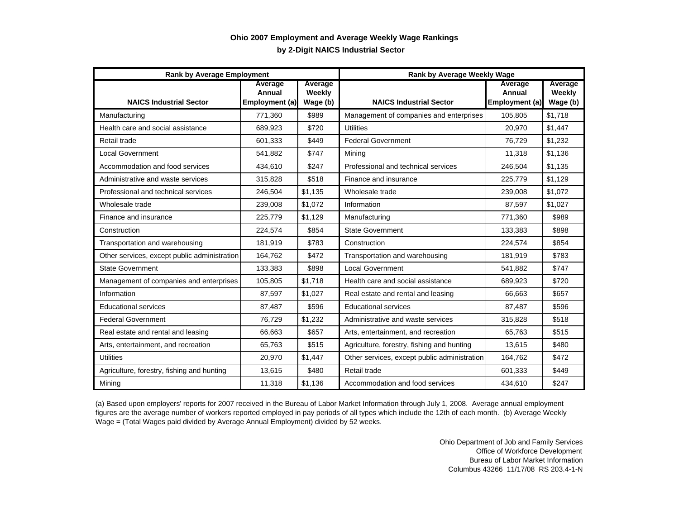## **by 2-Digit NAICS Industrial Sector Ohio 2007 Employment and Average Weekly Wage Rankings**

| <b>Rank by Average Employment</b>            |                                     |                               | <b>Rank by Average Weekly Wage</b>           |                                     |                               |
|----------------------------------------------|-------------------------------------|-------------------------------|----------------------------------------------|-------------------------------------|-------------------------------|
| <b>NAICS Industrial Sector</b>               | Average<br>Annual<br>Employment (a) | Average<br>Weekly<br>Wage (b) | <b>NAICS Industrial Sector</b>               | Average<br>Annual<br>Employment (a) | Average<br>Weekly<br>Wage (b) |
| Manufacturing                                | 771,360                             | \$989                         | Management of companies and enterprises      | 105,805                             | \$1,718                       |
| Health care and social assistance            | 689,923                             | \$720                         | <b>Utilities</b>                             | 20,970                              | \$1,447                       |
| Retail trade                                 | 601,333                             | \$449                         | <b>Federal Government</b>                    | 76,729                              | \$1,232                       |
| <b>Local Government</b>                      | 541,882                             | \$747                         | Mining                                       | 11,318                              | \$1,136                       |
| Accommodation and food services              | 434,610                             | \$247                         | Professional and technical services          | 246,504                             | \$1,135                       |
| Administrative and waste services            | 315,828                             | \$518                         | Finance and insurance                        | 225.779                             | \$1.129                       |
| Professional and technical services          | 246,504                             | \$1,135                       | Wholesale trade                              | 239,008                             | \$1,072                       |
| Wholesale trade                              | 239,008                             | \$1,072                       | Information                                  | 87,597                              | \$1,027                       |
| Finance and insurance                        | 225,779                             | \$1,129                       | Manufacturing                                | 771,360                             | \$989                         |
| Construction                                 | 224,574                             | \$854                         | <b>State Government</b>                      | 133.383                             | \$898                         |
| Transportation and warehousing               | 181,919                             | \$783                         | Construction                                 | 224,574                             | \$854                         |
| Other services, except public administration | 164,762                             | \$472                         | Transportation and warehousing               | 181,919                             | \$783                         |
| <b>State Government</b>                      | 133,383                             | \$898                         | <b>Local Government</b>                      | 541,882                             | \$747                         |
| Management of companies and enterprises      | 105,805                             | \$1,718                       | Health care and social assistance            | 689,923                             | \$720                         |
| Information                                  | 87,597                              | \$1.027                       | Real estate and rental and leasing           | 66.663                              | \$657                         |
| <b>Educational services</b>                  | 87,487                              | \$596                         | <b>Educational services</b>                  | 87,487                              | \$596                         |
| <b>Federal Government</b>                    | 76,729                              | \$1,232                       | Administrative and waste services            | 315,828                             | \$518                         |
| Real estate and rental and leasing           | 66,663                              | \$657                         | Arts, entertainment, and recreation          | 65.763                              | \$515                         |
| Arts, entertainment, and recreation          | 65.763                              | \$515                         | Agriculture, forestry, fishing and hunting   | 13.615                              | \$480                         |
| <b>Utilities</b>                             | 20,970                              | \$1,447                       | Other services, except public administration | 164,762                             | \$472                         |
| Agriculture, forestry, fishing and hunting   | 13,615                              | \$480                         | Retail trade                                 | 601,333                             | \$449                         |
| Mining                                       | 11,318                              | \$1,136                       | Accommodation and food services              | 434,610                             | \$247                         |

(a) Based upon employers' reports for 2007 received in the Bureau of Labor Market Information through July 1, 2008. Average annual employment figures are the average number of workers reported employed in pay periods of all types which include the 12th of each month. (b) Average Weekly Wage = (Total Wages paid divided by Average Annual Employment) divided by 52 weeks.

> Ohio Department of Job and Family Services Office of Workforce Development Bureau of Labor Market Information Columbus 43266 11/17/08 RS 203.4-1-N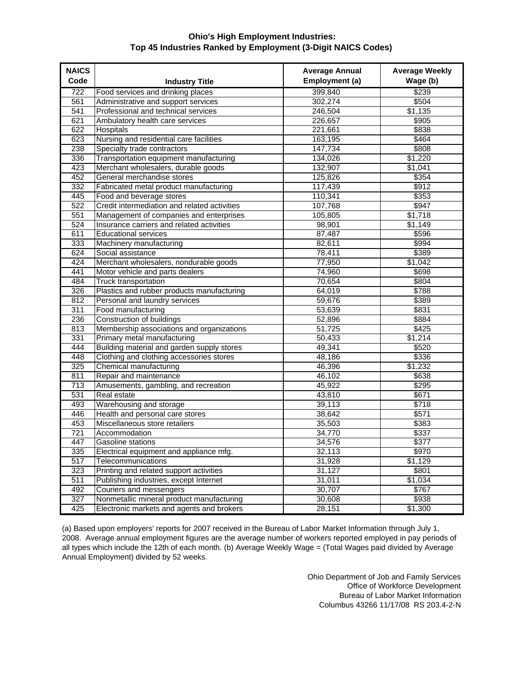## **Ohio's High Employment Industries: Top 45 Industries Ranked by Employment (3-Digit NAICS Codes)**

| <b>NAICS</b><br>Code |                                                                          | <b>Average Annual</b><br>Employment (a) | <b>Average Weekly</b><br>Wage (b) |
|----------------------|--------------------------------------------------------------------------|-----------------------------------------|-----------------------------------|
| 722                  | <b>Industry Title</b>                                                    |                                         | \$239                             |
| 561                  | Food services and drinking places<br>Administrative and support services | 399,840<br>302,274                      | \$504                             |
| 541                  | Professional and technical services                                      | 246,504                                 | \$1,135                           |
| 621                  | Ambulatory health care services                                          | 226,657                                 | \$905                             |
| 622                  | <b>Hospitals</b>                                                         | 221,661                                 | \$838                             |
| 623                  | Nursing and residential care facilities                                  | 163,195                                 | \$464                             |
| 238                  | Specialty trade contractors                                              | 147,734                                 | \$808                             |
| 336                  | Transportation equipment manufacturing                                   | 134,026                                 | \$1,220                           |
| 423                  | Merchant wholesalers, durable goods                                      | 132,907                                 | \$1,041                           |
| 452                  | General merchandise stores                                               | 125,826                                 | \$354                             |
| 332                  | Fabricated metal product manufacturing                                   | 117,439                                 | \$912                             |
| 445                  | Food and beverage stores                                                 | 110,341                                 | \$353                             |
| 522                  | Credit intermediation and related activities                             | 107,768                                 | \$947                             |
| 551                  | Management of companies and enterprises                                  | 105,805                                 | \$1,718                           |
| 524                  | Insurance carriers and related activities                                | 98,901                                  | \$1,149                           |
| 611                  | <b>Educational services</b>                                              | 87,487                                  | \$596                             |
| 333                  | Machinery manufacturing                                                  | 82,611                                  | \$994                             |
| 624                  | Social assistance                                                        | 78,411                                  | \$389                             |
| 424                  | Merchant wholesalers, nondurable goods                                   | 77,950                                  | \$1,042                           |
| 441                  | Motor vehicle and parts dealers                                          | 74,960                                  | \$698                             |
| 484                  | Truck transportation                                                     | 70,654                                  | \$804                             |
| 326                  | Plastics and rubber products manufacturing                               | 64,019                                  | \$788                             |
| 812                  | Personal and laundry services                                            | 59,676                                  | \$389                             |
| 311                  | Food manufacturing                                                       | 53,639                                  | \$831                             |
| 236                  | Construction of buildings                                                | 52,896                                  | \$884                             |
| 813                  | Membership associations and organizations                                | 51,725                                  | \$425                             |
| 331                  | Primary metal manufacturing                                              | 50,433                                  | \$1,214                           |
| 444                  | Building material and garden supply stores                               | 49,341                                  | \$520                             |
| 448                  | Clothing and clothing accessories stores                                 | 48,186                                  | \$336                             |
| 325                  | Chemical manufacturing                                                   | 46,396                                  | \$1,232                           |
| 811                  | Repair and maintenance                                                   | 46,102                                  | \$638                             |
| 713                  | Amusements, gambling, and recreation                                     | 45,922                                  | \$295                             |
| 531                  | Real estate                                                              | 43,810                                  | \$671                             |
| 493                  | Warehousing and storage                                                  | 39,113                                  | \$718                             |
| 446                  | Health and personal care stores                                          | 38,642                                  | \$571                             |
| 453                  | Miscellaneous store retailers                                            | 35,503                                  | \$383                             |
| 721                  | Accommodation                                                            | 34,770                                  | \$337                             |
| 447                  | Gasoline stations                                                        | 34,576                                  | \$377                             |
| 335                  | Electrical equipment and appliance mfg.                                  | 32,113                                  | \$970                             |
| 517                  | Telecommunications                                                       | 31,928                                  | \$1,129                           |
| 323                  | Printing and related support activities                                  | 31,127                                  | \$801                             |
| 511                  | Publishing industries, except Internet                                   | 31,011                                  | \$1,034                           |
| 492                  | Couriers and messengers                                                  | 30,707                                  | \$767                             |
| 327                  | Nonmetallic mineral product manufacturing                                | 30,608                                  | \$938                             |
| 425                  | Electronic markets and agents and brokers                                | 28,151                                  | \$1,300                           |

(a) Based upon employers' reports for 2007 received in the Bureau of Labor Market Information through July 1, 2008. Average annual employment figures are the average number of workers reported employed in pay periods of all types which include the 12th of each month. (b) Average Weekly Wage = (Total Wages paid divided by Average Annual Employment) divided by 52 weeks.

> Ohio Department of Job and Family Services Office of Workforce Development Bureau of Labor Market Information Columbus 43266 11/17/08 RS 203.4-2-N